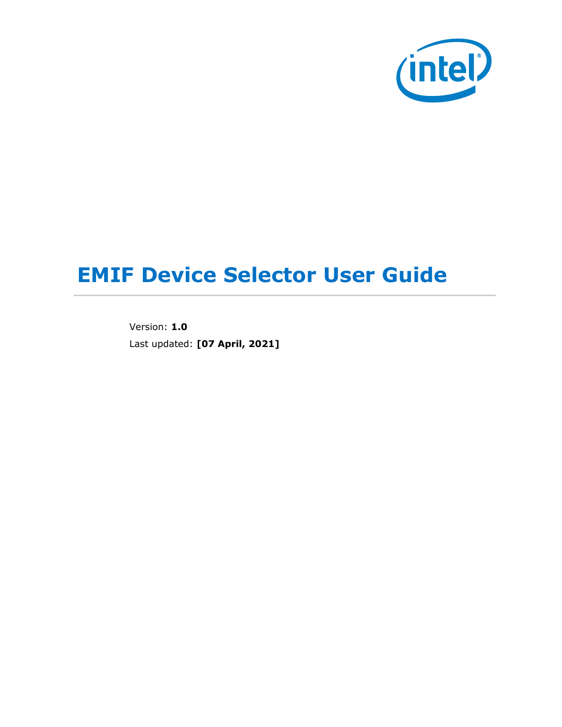

# **EMIF Device Selector User Guide**

Version: **1.0** Last updated: **[07 April, 2021]**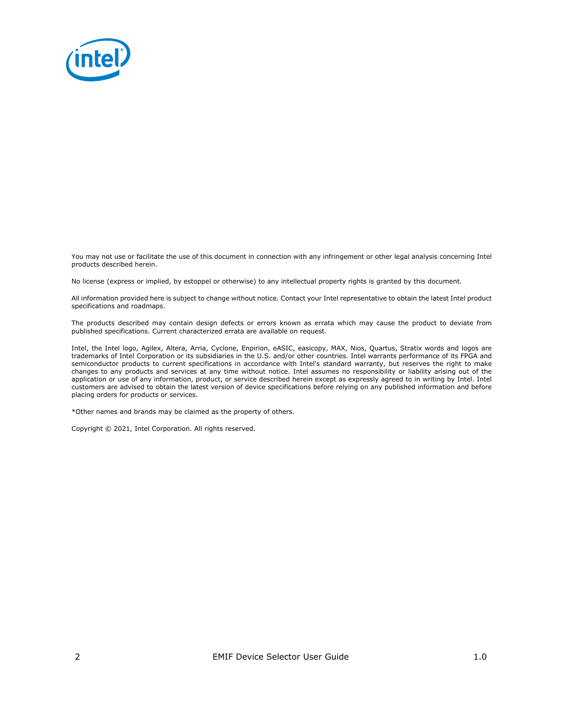

You may not use or facilitate the use of this document in connection with any infringement or other legal analysis concerning Intel products described herein.

No license (express or implied, by estoppel or otherwise) to any intellectual property rights is granted by this document.

All information provided here is subject to change without notice. Contact your Intel representative to obtain the latest Intel product specifications and roadmaps.

The products described may contain design defects or errors known as errata which may cause the product to deviate from published specifications. Current characterized errata are available on request.

Intel, the Intel logo, Agilex, Altera, Arria, Cyclone, Enpirion, eASIC, easicopy, MAX, Nios, Quartus, Stratix words and logos are trademarks of Intel Corporation or its subsidiaries in the U.S. and/or other countries. Intel warrants performance of its FPGA and semiconductor products to current specifications in accordance with Intel's standard warranty, but reserves the right to make changes to any products and services at any time without notice. Intel assumes no responsibility or liability arising out of the application or use of any information, product, or service described herein except as expressly agreed to in writing by Intel. Intel customers are advised to obtain the latest version of device specifications before relying on any published information and before placing orders for products or services.

\*Other names and brands may be claimed as the property of others.

Copyright © 2021, Intel Corporation. All rights reserved.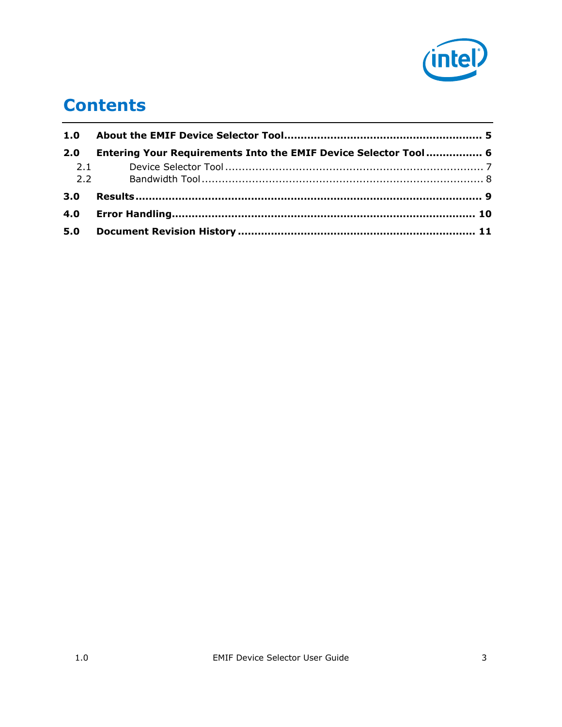

### **Contents**

| 2.0 | Entering Your Requirements Into the EMIF Device Selector Tool 6 |  |
|-----|-----------------------------------------------------------------|--|
|     |                                                                 |  |
|     |                                                                 |  |
|     |                                                                 |  |
|     |                                                                 |  |
|     |                                                                 |  |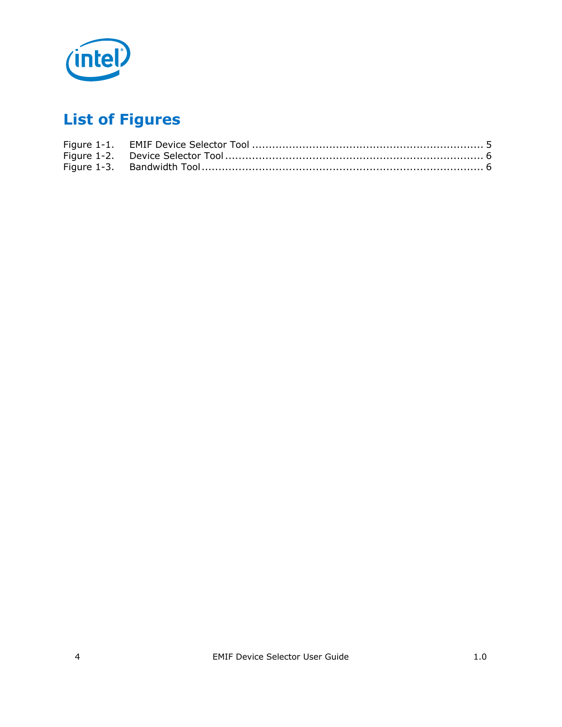

## **List of Figures**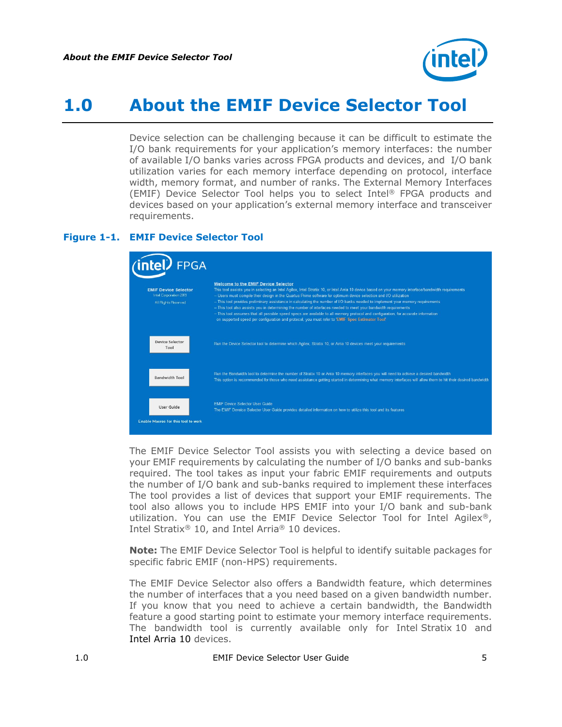

### **1.0 About the EMIF Device Selector Tool**

<span id="page-4-0"></span>Device selection can be challenging because it can be difficult to estimate the I/O bank requirements for your application's memory interfaces: the number of available I/O banks varies across FPGA products and devices, and I/O bank utilization varies for each memory interface depending on protocol, interface width, memory format, and number of ranks. The External Memory Interfaces (EMIF) Device Selector Tool helps you to select Intel® FPGA products and devices based on your application's external memory interface and transceiver requirements.

#### <span id="page-4-1"></span>**Figure 1-1. EMIF Device Selector Tool**

| (intel) FPGA                                                                        |                                                                                                                                                                                                                                                                                                                                                                                                                                                                                                                                                                                                                                                                                                                                                                                                                         |
|-------------------------------------------------------------------------------------|-------------------------------------------------------------------------------------------------------------------------------------------------------------------------------------------------------------------------------------------------------------------------------------------------------------------------------------------------------------------------------------------------------------------------------------------------------------------------------------------------------------------------------------------------------------------------------------------------------------------------------------------------------------------------------------------------------------------------------------------------------------------------------------------------------------------------|
| <b>EMIF Device Selector</b><br><b>Intel Corporation 2019</b><br>All Rights Reserved | <b>Welcome to the EMIF Device Selector</b><br>This tool assists you in selecting an Intel Agilex, Intel Stratix 10, or Intel Arria 10 device based on your memory interface/bandwidth requirements<br>- Users must compile their design in the Quartus Prime software for optimum device selection and I/O utilization<br>-- This tool provides preliminary assistance in calculating the number of I/O banks needed to implement your memory requirements<br>- This tool also assists you in determining the number of interfaces needed to meet your bandwidth requirements<br>-- This tool assumes that all possible speed specs are available to all memory protocol and configuration, for accurate information<br>on supported speed per configuration and protocol, you must refer to 'EMIF Spec Estimator Tool' |
| Device Selector<br>Tool                                                             | Run the Device Selector tool to determine which Agilex, Stratix 10, or Arria 10 devices meet your requirements                                                                                                                                                                                                                                                                                                                                                                                                                                                                                                                                                                                                                                                                                                          |
| Bandwidth Tool                                                                      | Run the Bandwidth tool to determine the number of Stratix 10 or Arria 10 memory interfaces you will need to achieve a desired bandwidth<br>This option is recommended for those who need assistance getting started in determining what memory interfaces will allow them to hit their desired bandwidth                                                                                                                                                                                                                                                                                                                                                                                                                                                                                                                |
| User Guide<br><b>Enable Macros for this tool to work</b>                            | <b>EMIF Device Selector User Guide</b><br>The EMIF Deveice Selector User Guide provides detailed information on how to utilize this tool and its features                                                                                                                                                                                                                                                                                                                                                                                                                                                                                                                                                                                                                                                               |

The EMIF Device Selector Tool assists you with selecting a device based on your EMIF requirements by calculating the number of I/O banks and sub-banks required. The tool takes as input your fabric EMIF requirements and outputs the number of I/O bank and sub-banks required to implement these interfaces The tool provides a list of devices that support your EMIF requirements. The tool also allows you to include HPS EMIF into your I/O bank and sub-bank utilization. You can use the EMIF Device Selector Tool for Intel Agilex<sup>®</sup>, Intel Stratix® 10, and Intel Arria® 10 devices.

**Note:** The EMIF Device Selector Tool is helpful to identify suitable packages for specific fabric EMIF (non-HPS) requirements.

The EMIF Device Selector also offers a Bandwidth feature, which determines the number of interfaces that a you need based on a given bandwidth number. If you know that you need to achieve a certain bandwidth, the Bandwidth feature a good starting point to estimate your memory interface requirements. The bandwidth tool is currently available only for Intel Stratix 10 and Intel Arria 10 devices.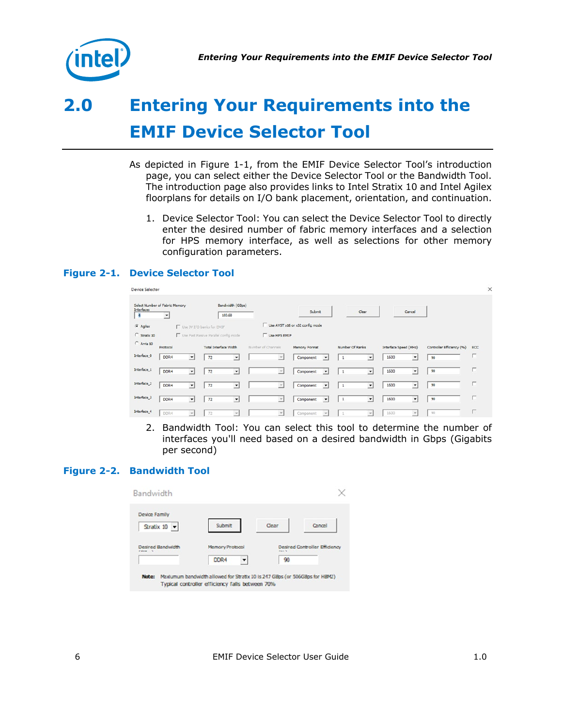

# <span id="page-5-0"></span>**2.0 Entering Your Requirements into the EMIF Device Selector Tool**

- As depicted in [Figure 1-1,](#page-4-1) from the EMIF Device Selector Tool's introduction page, you can select either the Device Selector Tool or the Bandwidth Tool. The introduction page also provides links to Intel Stratix 10 and Intel Agilex floorplans for details on I/O bank placement, orientation, and continuation.
	- 1. Device Selector Tool: You can select the Device Selector Tool to directly enter the desired number of fabric memory interfaces and a selection for HPS memory interface, as well as selections for other memory configuration parameters.

#### <span id="page-5-1"></span>**Figure 2-1. Device Selector Tool**



2. Bandwidth Tool: You can select this tool to determine the number of interfaces you'll need based on a desired bandwidth in Gbps (Gigabits per second)

#### <span id="page-5-2"></span>**Figure 2-2. Bandwidth Tool**

| Device Family                 |                  |               |                               |
|-------------------------------|------------------|---------------|-------------------------------|
| Stratix $10 - $               | Submit           | Clear         | Cancel                        |
| Desired Bandwich<br>Course 11 | Memory Protocol  | <b>Window</b> | Desired Controller Efficiency |
|                               | DDR <sub>4</sub> | 90            |                               |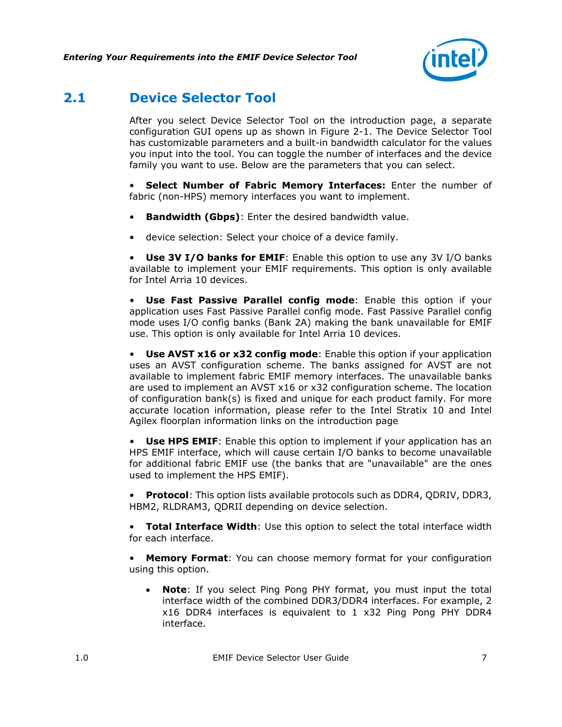

### **2.1 Device Selector Tool**

<span id="page-6-0"></span>After you select Device Selector Tool on the introduction page, a separate configuration GUI opens up as shown in [Figure 2-1.](#page-5-1) The Device Selector Tool has customizable parameters and a built-in bandwidth calculator for the values you input into the tool. You can toggle the number of interfaces and the device family you want to use. Below are the parameters that you can select.

• **Select Number of Fabric Memory Interfaces:** Enter the number of fabric (non-HPS) memory interfaces you want to implement.

- **Bandwidth (Gbps)**: Enter the desired bandwidth value.
- device selection: Select your choice of a device family.

• **Use 3V I/O banks for EMIF**: Enable this option to use any 3V I/O banks available to implement your EMIF requirements. This option is only available for Intel Arria 10 devices.

• **Use Fast Passive Parallel config mode**: Enable this option if your application uses Fast Passive Parallel config mode. Fast Passive Parallel config mode uses I/O config banks (Bank 2A) making the bank unavailable for EMIF use. This option is only available for Intel Arria 10 devices.

• **Use AVST x16 or x32 config mode**: Enable this option if your application uses an AVST configuration scheme. The banks assigned for AVST are not available to implement fabric EMIF memory interfaces. The unavailable banks are used to implement an AVST x16 or x32 configuration scheme. The location of configuration bank(s) is fixed and unique for each product family. For more accurate location information, please refer to the Intel Stratix 10 and Intel Agilex floorplan information links on the introduction page

• **Use HPS EMIF**: Enable this option to implement if your application has an HPS EMIF interface, which will cause certain I/O banks to become unavailable for additional fabric EMIF use (the banks that are "unavailable" are the ones used to implement the HPS EMIF).

• **Protocol**: This option lists available protocols such as DDR4, QDRIV, DDR3, HBM2, RLDRAM3, QDRII depending on device selection.

• **Total Interface Width**: Use this option to select the total interface width for each interface.

• **Memory Format**: You can choose memory format for your configuration using this option.

• **Note**: If you select Ping Pong PHY format, you must input the total interface width of the combined DDR3/DDR4 interfaces. For example, 2 x16 DDR4 interfaces is equivalent to 1 x32 Ping Pong PHY DDR4 interface.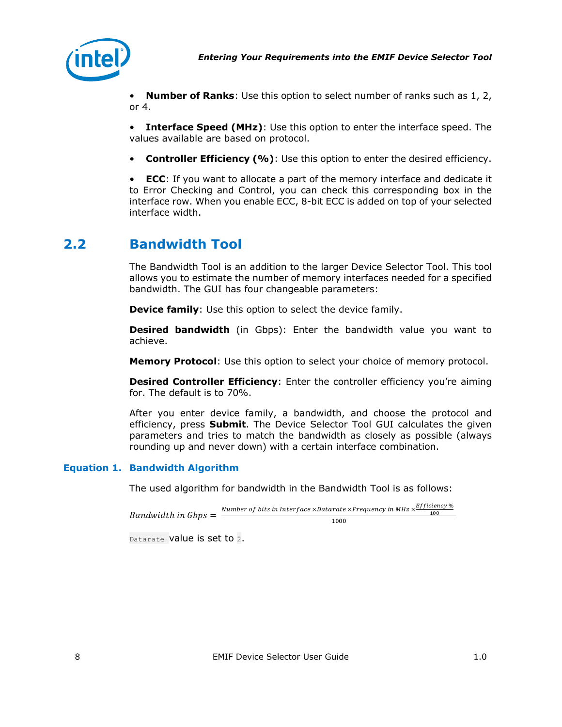

• **Number of Ranks**: Use this option to select number of ranks such as 1, 2, or 4.

• **Interface Speed (MHz)**: Use this option to enter the interface speed. The values available are based on protocol.

• **Controller Efficiency (%)**: Use this option to enter the desired efficiency.

<span id="page-7-0"></span>• **ECC**: If you want to allocate a part of the memory interface and dedicate it to Error Checking and Control, you can check this corresponding box in the interface row. When you enable ECC, 8-bit ECC is added on top of your selected interface width.

### **2.2 Bandwidth Tool**

The Bandwidth Tool is an addition to the larger Device Selector Tool. This tool allows you to estimate the number of memory interfaces needed for a specified bandwidth. The GUI has four changeable parameters:

**Device family**: Use this option to select the device family.

**Desired bandwidth** (in Gbps): Enter the bandwidth value you want to achieve.

**Memory Protocol**: Use this option to select your choice of memory protocol.

**Desired Controller Efficiency**: Enter the controller efficiency you're aiming for. The default is to 70%.

After you enter device family, a bandwidth, and choose the protocol and efficiency, press **Submit**. The Device Selector Tool GUI calculates the given parameters and tries to match the bandwidth as closely as possible (always rounding up and never down) with a certain interface combination.

#### **Equation 1. Bandwidth Algorithm**

The used algorithm for bandwidth in the Bandwidth Tool is as follows:

| Bandwidth in $Gbps =$ | Number of bits in Interface $\times$ Datarate $\times$ Frequency in MHz $\times$ EJJictency $\%$ | 100 |
|-----------------------|--------------------------------------------------------------------------------------------------|-----|
|                       | 1000                                                                                             |     |

Datarate value is set to 2.

 $\frac{1}{2}$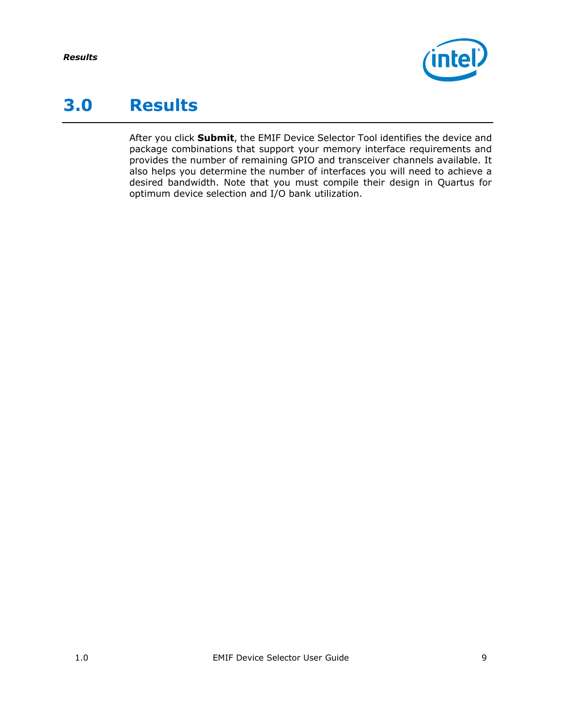

### **3.0 Results**

<span id="page-8-0"></span>After you click **Submit**, the EMIF Device Selector Tool identifies the device and package combinations that support your memory interface requirements and provides the number of remaining GPIO and transceiver channels available. It also helps you determine the number of interfaces you will need to achieve a desired bandwidth. Note that you must compile their design in Quartus for optimum device selection and I/O bank utilization.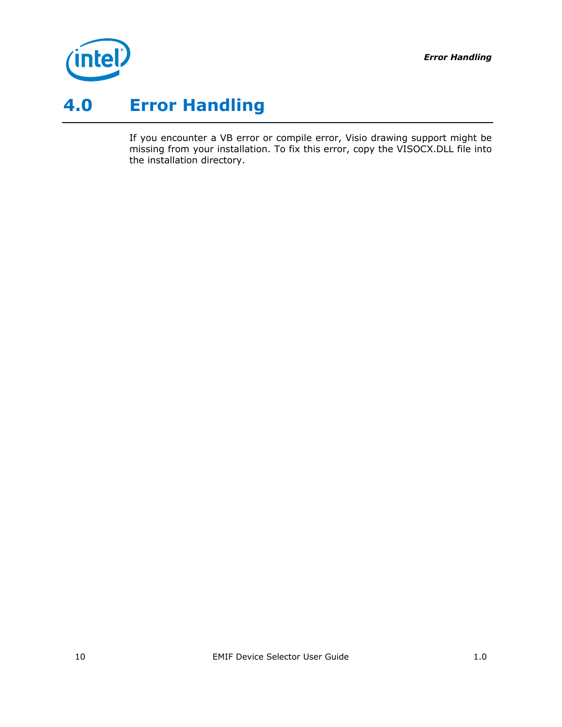

### **4.0 Error Handling**

<span id="page-9-0"></span>If you encounter a VB error or compile error, Visio drawing support might be missing from your installation. To fix this error, copy the VISOCX.DLL file into the installation directory.